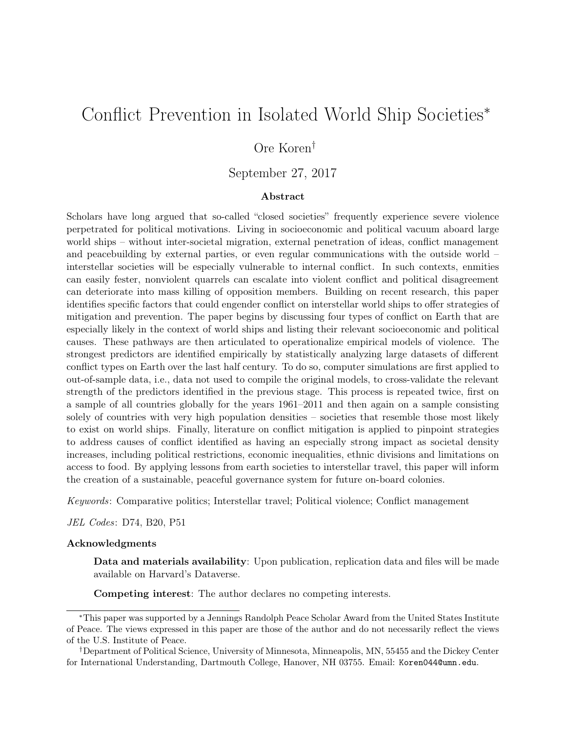# Conflict Prevention in Isolated World Ship Societies<sup>∗</sup>

## Ore Koren†

## September 27, 2017

#### Abstract

Scholars have long argued that so-called "closed societies" frequently experience severe violence perpetrated for political motivations. Living in socioeconomic and political vacuum aboard large world ships – without inter-societal migration, external penetration of ideas, conflict management and peacebuilding by external parties, or even regular communications with the outside world – interstellar societies will be especially vulnerable to internal conflict. In such contexts, enmities can easily fester, nonviolent quarrels can escalate into violent conflict and political disagreement can deteriorate into mass killing of opposition members. Building on recent research, this paper identifies specific factors that could engender conflict on interstellar world ships to offer strategies of mitigation and prevention. The paper begins by discussing four types of conflict on Earth that are especially likely in the context of world ships and listing their relevant socioeconomic and political causes. These pathways are then articulated to operationalize empirical models of violence. The strongest predictors are identified empirically by statistically analyzing large datasets of different conflict types on Earth over the last half century. To do so, computer simulations are first applied to out-of-sample data, i.e., data not used to compile the original models, to cross-validate the relevant strength of the predictors identified in the previous stage. This process is repeated twice, first on a sample of all countries globally for the years 1961–2011 and then again on a sample consisting solely of countries with very high population densities – societies that resemble those most likely to exist on world ships. Finally, literature on conflict mitigation is applied to pinpoint strategies to address causes of conflict identified as having an especially strong impact as societal density increases, including political restrictions, economic inequalities, ethnic divisions and limitations on access to food. By applying lessons from earth societies to interstellar travel, this paper will inform the creation of a sustainable, peaceful governance system for future on-board colonies.

Keywords: Comparative politics; Interstellar travel; Political violence; Conflict management

JEL Codes: D74, B20, P51

#### Acknowledgments

Data and materials availability: Upon publication, replication data and files will be made available on Harvard's Dataverse.

Competing interest: The author declares no competing interests.

<sup>∗</sup>This paper was supported by a Jennings Randolph Peace Scholar Award from the United States Institute of Peace. The views expressed in this paper are those of the author and do not necessarily reflect the views of the U.S. Institute of Peace.

<sup>†</sup>Department of Political Science, University of Minnesota, Minneapolis, MN, 55455 and the Dickey Center for International Understanding, Dartmouth College, Hanover, NH 03755. Email: Koren044@umn.edu.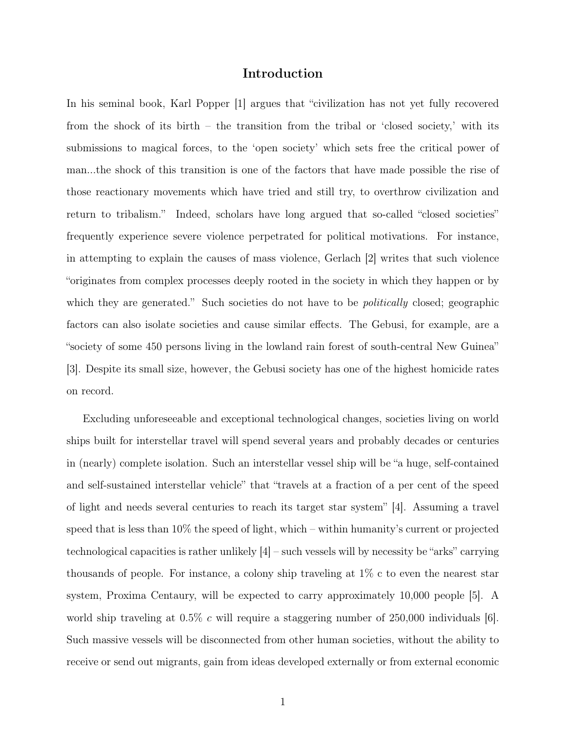## Introduction

In his seminal book, Karl Popper [1] argues that "civilization has not yet fully recovered from the shock of its birth – the transition from the tribal or 'closed society,' with its submissions to magical forces, to the 'open society' which sets free the critical power of man...the shock of this transition is one of the factors that have made possible the rise of those reactionary movements which have tried and still try, to overthrow civilization and return to tribalism." Indeed, scholars have long argued that so-called "closed societies" frequently experience severe violence perpetrated for political motivations. For instance, in attempting to explain the causes of mass violence, Gerlach [2] writes that such violence "originates from complex processes deeply rooted in the society in which they happen or by which they are generated." Such societies do not have to be *politically* closed; geographic factors can also isolate societies and cause similar effects. The Gebusi, for example, are a "society of some 450 persons living in the lowland rain forest of south-central New Guinea" [3]. Despite its small size, however, the Gebusi society has one of the highest homicide rates on record.

Excluding unforeseeable and exceptional technological changes, societies living on world ships built for interstellar travel will spend several years and probably decades or centuries in (nearly) complete isolation. Such an interstellar vessel ship will be "a huge, self-contained and self-sustained interstellar vehicle" that "travels at a fraction of a per cent of the speed of light and needs several centuries to reach its target star system" [4]. Assuming a travel speed that is less than 10% the speed of light, which – within humanity's current or projected technological capacities is rather unlikely [4] – such vessels will by necessity be "arks" carrying thousands of people. For instance, a colony ship traveling at 1% c to even the nearest star system, Proxima Centaury, will be expected to carry approximately 10,000 people [5]. A world ship traveling at 0.5% c will require a staggering number of 250,000 individuals [6]. Such massive vessels will be disconnected from other human societies, without the ability to receive or send out migrants, gain from ideas developed externally or from external economic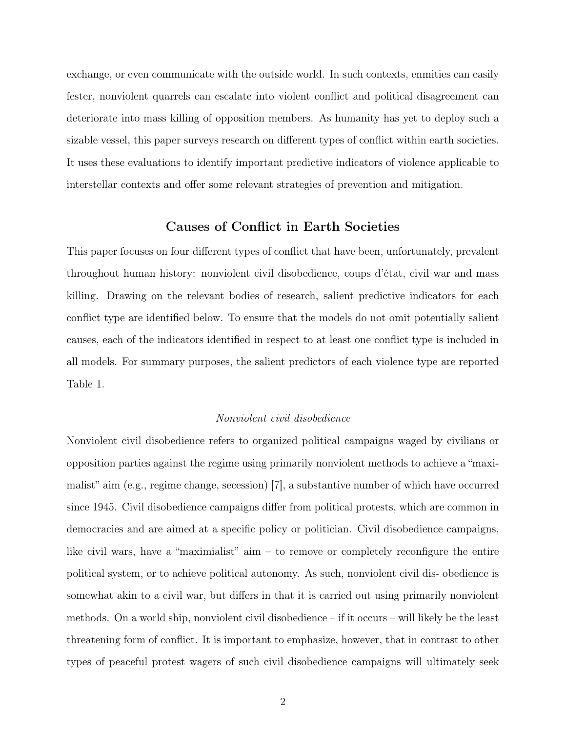exchange, or even communicate with the outside world. In such contexts, enmities can easily fester, nonviolent quarrels can escalate into violent conflict and political disagreement can deteriorate into mass killing of opposition members. As humanity has yet to deploy such a sizable vessel, this paper surveys research on different types of conflict within earth societies. It uses these evaluations to identify important predictive indicators of violence applicable to interstellar contexts and offer some relevant strategies of prevention and mitigation.

## Causes of Conflict in Earth Societies

This paper focuses on four different types of conflict that have been, unfortunately, prevalent throughout human history: nonviolent civil disobedience, coups d'état, civil war and mass killing. Drawing on the relevant bodies of research, salient predictive indicators for each conflict type are identified below. To ensure that the models do not omit potentially salient causes, each of the indicators identified in respect to at least one conflict type is included in all models. For summary purposes, the salient predictors of each violence type are reported Table 1.

#### Nonviolent civil disobedience

Nonviolent civil disobedience refers to organized political campaigns waged by civilians or opposition parties against the regime using primarily nonviolent methods to achieve a "maximalist" aim (e.g., regime change, secession) [7], a substantive number of which have occurred since 1945. Civil disobedience campaigns differ from political protests, which are common in democracies and are aimed at a specific policy or politician. Civil disobedience campaigns, like civil wars, have a "maximialist" aim  $-$  to remove or completely reconfigure the entire political system, or to achieve political autonomy. As such, nonviolent civil dis- obedience is somewhat akin to a civil war, but differs in that it is carried out using primarily nonviolent methods. On a world ship, nonviolent civil disobedience – if it occurs – will likely be the least threatening form of conflict. It is important to emphasize, however, that in contrast to other types of peaceful protest wagers of such civil disobedience campaigns will ultimately seek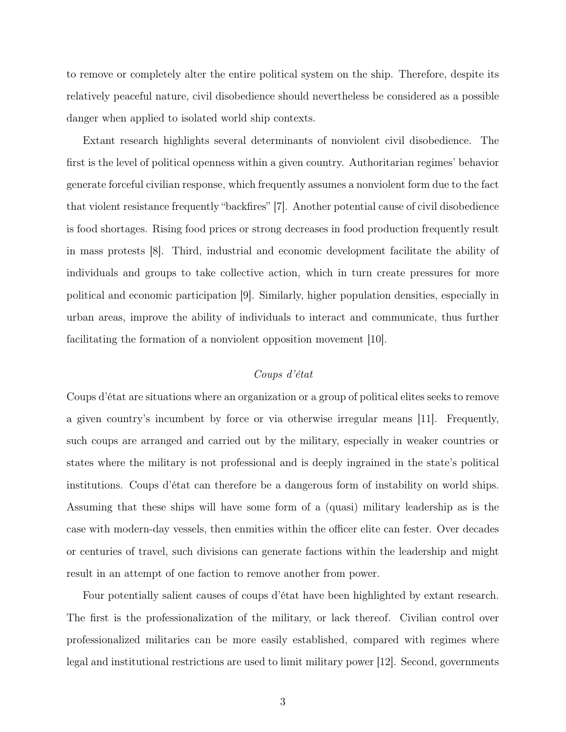to remove or completely alter the entire political system on the ship. Therefore, despite its relatively peaceful nature, civil disobedience should nevertheless be considered as a possible danger when applied to isolated world ship contexts.

Extant research highlights several determinants of nonviolent civil disobedience. The first is the level of political openness within a given country. Authoritarian regimes' behavior generate forceful civilian response, which frequently assumes a nonviolent form due to the fact that violent resistance frequently "backfires" [7]. Another potential cause of civil disobedience is food shortages. Rising food prices or strong decreases in food production frequently result in mass protests [8]. Third, industrial and economic development facilitate the ability of individuals and groups to take collective action, which in turn create pressures for more political and economic participation [9]. Similarly, higher population densities, especially in urban areas, improve the ability of individuals to interact and communicate, thus further facilitating the formation of a nonviolent opposition movement [10].

## Coups d'état

Coups d'état are situations where an organization or a group of political elites seeks to remove a given country's incumbent by force or via otherwise irregular means [11]. Frequently, such coups are arranged and carried out by the military, especially in weaker countries or states where the military is not professional and is deeply ingrained in the state's political institutions. Coups d'état can therefore be a dangerous form of instability on world ships. Assuming that these ships will have some form of a (quasi) military leadership as is the case with modern-day vessels, then enmities within the officer elite can fester. Over decades or centuries of travel, such divisions can generate factions within the leadership and might result in an attempt of one faction to remove another from power.

Four potentially salient causes of coups d'état have been highlighted by extant research. The first is the professionalization of the military, or lack thereof. Civilian control over professionalized militaries can be more easily established, compared with regimes where legal and institutional restrictions are used to limit military power [12]. Second, governments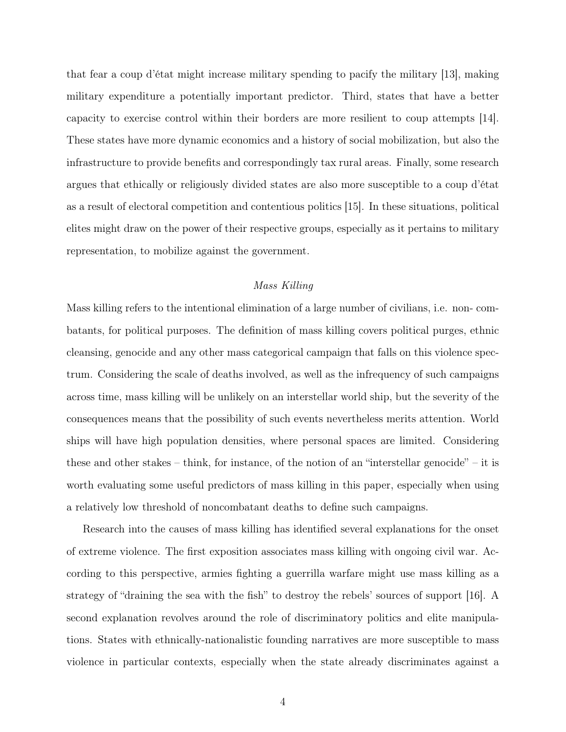that fear a coup d'état might increase military spending to pacify the military [13], making military expenditure a potentially important predictor. Third, states that have a better capacity to exercise control within their borders are more resilient to coup attempts [14]. These states have more dynamic economics and a history of social mobilization, but also the infrastructure to provide benefits and correspondingly tax rural areas. Finally, some research argues that ethically or religiously divided states are also more susceptible to a coup d'état as a result of electoral competition and contentious politics [15]. In these situations, political elites might draw on the power of their respective groups, especially as it pertains to military representation, to mobilize against the government.

## Mass Killing

Mass killing refers to the intentional elimination of a large number of civilians, i.e. non- combatants, for political purposes. The definition of mass killing covers political purges, ethnic cleansing, genocide and any other mass categorical campaign that falls on this violence spectrum. Considering the scale of deaths involved, as well as the infrequency of such campaigns across time, mass killing will be unlikely on an interstellar world ship, but the severity of the consequences means that the possibility of such events nevertheless merits attention. World ships will have high population densities, where personal spaces are limited. Considering these and other stakes – think, for instance, of the notion of an "interstellar genocide" – it is worth evaluating some useful predictors of mass killing in this paper, especially when using a relatively low threshold of noncombatant deaths to define such campaigns.

Research into the causes of mass killing has identified several explanations for the onset of extreme violence. The first exposition associates mass killing with ongoing civil war. According to this perspective, armies fighting a guerrilla warfare might use mass killing as a strategy of "draining the sea with the fish" to destroy the rebels' sources of support [16]. A second explanation revolves around the role of discriminatory politics and elite manipulations. States with ethnically-nationalistic founding narratives are more susceptible to mass violence in particular contexts, especially when the state already discriminates against a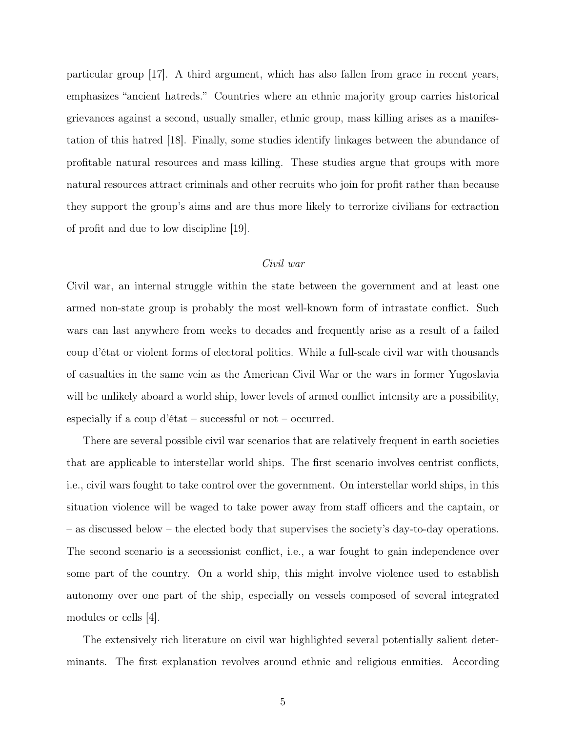particular group [17]. A third argument, which has also fallen from grace in recent years, emphasizes "ancient hatreds." Countries where an ethnic majority group carries historical grievances against a second, usually smaller, ethnic group, mass killing arises as a manifestation of this hatred [18]. Finally, some studies identify linkages between the abundance of profitable natural resources and mass killing. These studies argue that groups with more natural resources attract criminals and other recruits who join for profit rather than because they support the group's aims and are thus more likely to terrorize civilians for extraction of profit and due to low discipline [19].

## Civil war

Civil war, an internal struggle within the state between the government and at least one armed non-state group is probably the most well-known form of intrastate conflict. Such wars can last anywhere from weeks to decades and frequently arise as a result of a failed coup d'état or violent forms of electoral politics. While a full-scale civil war with thousands of casualties in the same vein as the American Civil War or the wars in former Yugoslavia will be unlikely aboard a world ship, lower levels of armed conflict intensity are a possibility, especially if a coup d'état – successful or not – occurred.

There are several possible civil war scenarios that are relatively frequent in earth societies that are applicable to interstellar world ships. The first scenario involves centrist conflicts, i.e., civil wars fought to take control over the government. On interstellar world ships, in this situation violence will be waged to take power away from staff officers and the captain, or – as discussed below – the elected body that supervises the society's day-to-day operations. The second scenario is a secessionist conflict, i.e., a war fought to gain independence over some part of the country. On a world ship, this might involve violence used to establish autonomy over one part of the ship, especially on vessels composed of several integrated modules or cells [4].

The extensively rich literature on civil war highlighted several potentially salient determinants. The first explanation revolves around ethnic and religious enmities. According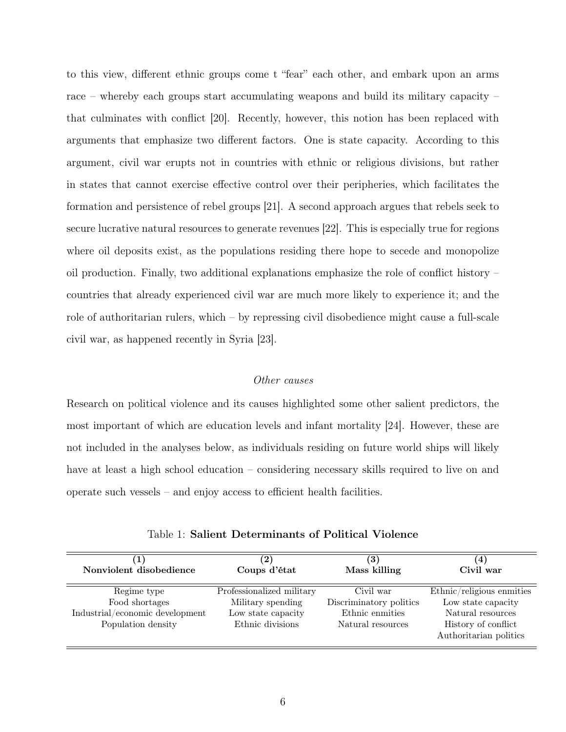to this view, different ethnic groups come t "fear" each other, and embark upon an arms race – whereby each groups start accumulating weapons and build its military capacity – that culminates with conflict [20]. Recently, however, this notion has been replaced with arguments that emphasize two different factors. One is state capacity. According to this argument, civil war erupts not in countries with ethnic or religious divisions, but rather in states that cannot exercise effective control over their peripheries, which facilitates the formation and persistence of rebel groups [21]. A second approach argues that rebels seek to secure lucrative natural resources to generate revenues [22]. This is especially true for regions where oil deposits exist, as the populations residing there hope to secede and monopolize oil production. Finally, two additional explanations emphasize the role of conflict history – countries that already experienced civil war are much more likely to experience it; and the role of authoritarian rulers, which – by repressing civil disobedience might cause a full-scale civil war, as happened recently in Syria [23].

#### Other causes

Research on political violence and its causes highlighted some other salient predictors, the most important of which are education levels and infant mortality [24]. However, these are not included in the analyses below, as individuals residing on future world ships will likely have at least a high school education – considering necessary skills required to live on and operate such vessels – and enjoy access to efficient health facilities.

Table 1: Salient Determinants of Political Violence

| Nonviolent disobedience         | $\mathbf{2}$              | $\bf (3)$               | (4)                                           |
|---------------------------------|---------------------------|-------------------------|-----------------------------------------------|
|                                 | Coups d'état              | Mass killing            | Civil war                                     |
| Regime type                     | Professionalized military | Civil war               | Ethnic/religious enmities                     |
| Food shortages                  | Military spending         | Discriminatory politics | Low state capacity                            |
| Industrial/economic development | Low state capacity        | Ethnic enmities         | Natural resources                             |
| Population density              | Ethnic divisions          | Natural resources       | History of conflict<br>Authoritarian politics |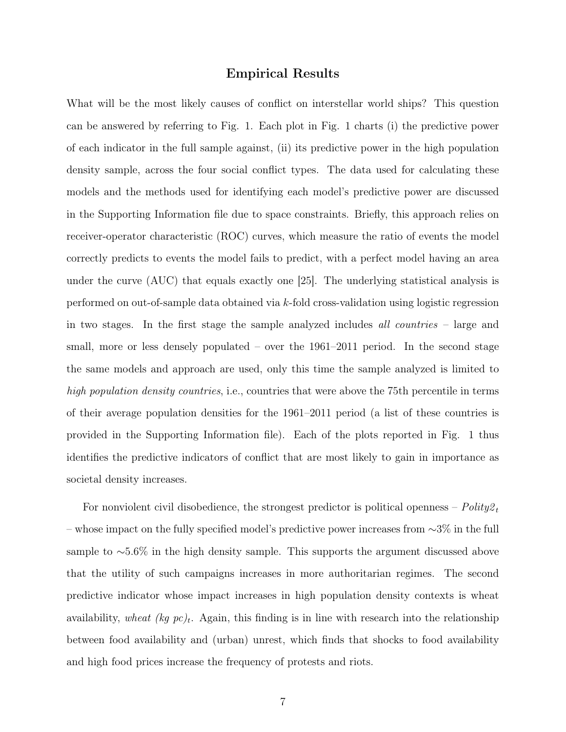## Empirical Results

What will be the most likely causes of conflict on interstellar world ships? This question can be answered by referring to Fig. 1. Each plot in Fig. 1 charts (i) the predictive power of each indicator in the full sample against, (ii) its predictive power in the high population density sample, across the four social conflict types. The data used for calculating these models and the methods used for identifying each model's predictive power are discussed in the Supporting Information file due to space constraints. Briefly, this approach relies on receiver-operator characteristic (ROC) curves, which measure the ratio of events the model correctly predicts to events the model fails to predict, with a perfect model having an area under the curve (AUC) that equals exactly one [25]. The underlying statistical analysis is performed on out-of-sample data obtained via k-fold cross-validation using logistic regression in two stages. In the first stage the sample analyzed includes all countries – large and small, more or less densely populated – over the 1961–2011 period. In the second stage the same models and approach are used, only this time the sample analyzed is limited to high population density countries, i.e., countries that were above the 75th percentile in terms of their average population densities for the 1961–2011 period (a list of these countries is provided in the Supporting Information file). Each of the plots reported in Fig. 1 thus identifies the predictive indicators of conflict that are most likely to gain in importance as societal density increases.

For nonviolent civil disobedience, the strongest predictor is political openness –  $Polity2_t$ – whose impact on the fully specified model's predictive power increases from  $\sim$ 3% in the full sample to ~5.6% in the high density sample. This supports the argument discussed above that the utility of such campaigns increases in more authoritarian regimes. The second predictive indicator whose impact increases in high population density contexts is wheat availability, wheat (kg  $pc$ )<sub>t</sub>. Again, this finding is in line with research into the relationship between food availability and (urban) unrest, which finds that shocks to food availability and high food prices increase the frequency of protests and riots.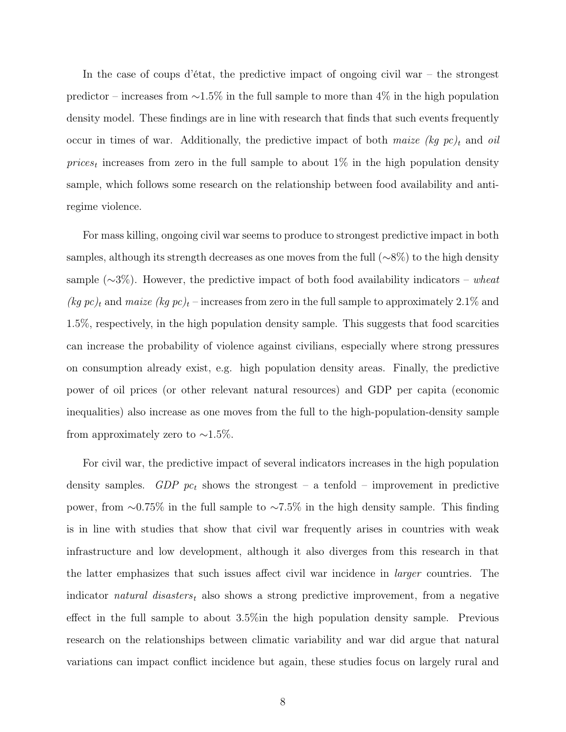In the case of coups d'état, the predictive impact of ongoing civil war – the strongest predictor – increases from  $\sim$ 1.5% in the full sample to more than 4% in the high population density model. These findings are in line with research that finds that such events frequently occur in times of war. Additionally, the predictive impact of both maize (kg  $pc$ )<sub>t</sub> and oil  $\text{prices}_{t}$  increases from zero in the full sample to about 1\% in the high population density sample, which follows some research on the relationship between food availability and antiregime violence.

For mass killing, ongoing civil war seems to produce to strongest predictive impact in both samples, although its strength decreases as one moves from the full ( $\sim$ 8%) to the high density sample  $(\sim 3\%)$ . However, the predictive impact of both food availability indicators – wheat (kg pc)<sub>t</sub> and maize (kg pc)<sub>t</sub> – increases from zero in the full sample to approximately 2.1% and 1.5%, respectively, in the high population density sample. This suggests that food scarcities can increase the probability of violence against civilians, especially where strong pressures on consumption already exist, e.g. high population density areas. Finally, the predictive power of oil prices (or other relevant natural resources) and GDP per capita (economic inequalities) also increase as one moves from the full to the high-population-density sample from approximately zero to  $\sim$ 1.5%.

For civil war, the predictive impact of several indicators increases in the high population density samples. GDP  $pc_t$  shows the strongest – a tenfold – improvement in predictive power, from ∼0.75% in the full sample to ∼7.5% in the high density sample. This finding is in line with studies that show that civil war frequently arises in countries with weak infrastructure and low development, although it also diverges from this research in that the latter emphasizes that such issues affect civil war incidence in larger countries. The indicator *natural disasters<sub>t</sub>* also shows a strong predictive improvement, from a negative effect in the full sample to about 3.5%in the high population density sample. Previous research on the relationships between climatic variability and war did argue that natural variations can impact conflict incidence but again, these studies focus on largely rural and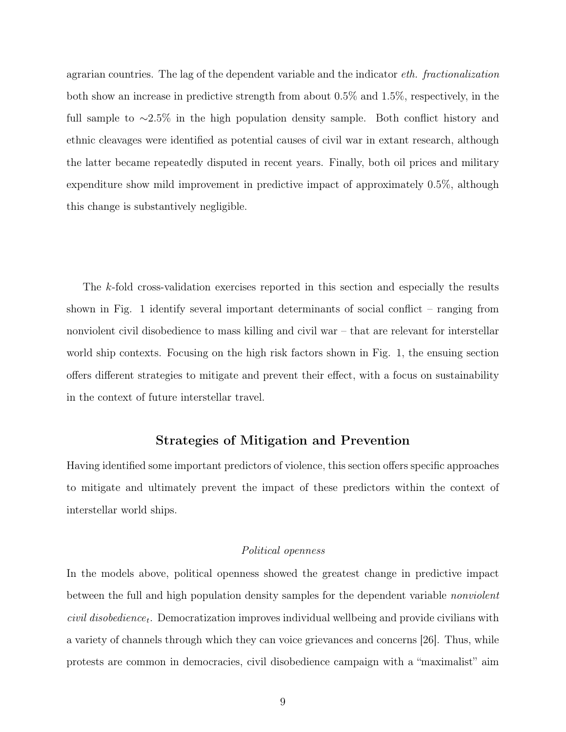agrarian countries. The lag of the dependent variable and the indicator eth. fractionalization both show an increase in predictive strength from about 0.5% and 1.5%, respectively, in the full sample to ∼2.5% in the high population density sample. Both conflict history and ethnic cleavages were identified as potential causes of civil war in extant research, although the latter became repeatedly disputed in recent years. Finally, both oil prices and military expenditure show mild improvement in predictive impact of approximately 0.5%, although this change is substantively negligible.

The k-fold cross-validation exercises reported in this section and especially the results shown in Fig. 1 identify several important determinants of social conflict – ranging from nonviolent civil disobedience to mass killing and civil war – that are relevant for interstellar world ship contexts. Focusing on the high risk factors shown in Fig. 1, the ensuing section offers different strategies to mitigate and prevent their effect, with a focus on sustainability in the context of future interstellar travel.

## Strategies of Mitigation and Prevention

Having identified some important predictors of violence, this section offers specific approaches to mitigate and ultimately prevent the impact of these predictors within the context of interstellar world ships.

#### Political openness

In the models above, political openness showed the greatest change in predictive impact between the full and high population density samples for the dependent variable nonviolent  $\it civil\,\, disobedience_t$ . Democratization improves individual wellbeing and provide civilians with a variety of channels through which they can voice grievances and concerns [26]. Thus, while protests are common in democracies, civil disobedience campaign with a "maximalist" aim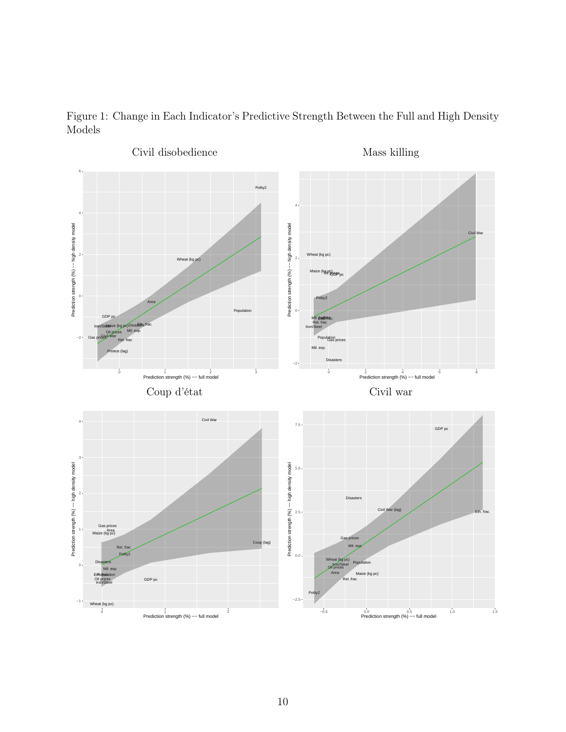

Figure 1: Change in Each Indicator's Predictive Strength Between the Full and High Density Models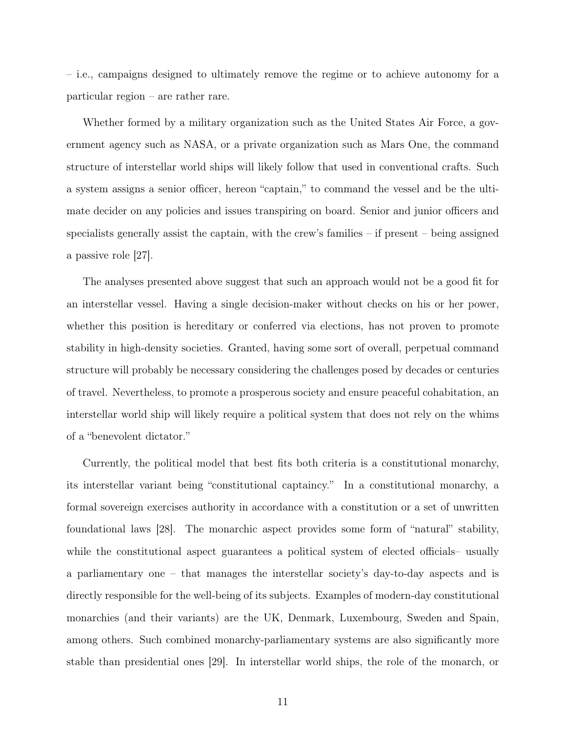– i.e., campaigns designed to ultimately remove the regime or to achieve autonomy for a particular region – are rather rare.

Whether formed by a military organization such as the United States Air Force, a government agency such as NASA, or a private organization such as Mars One, the command structure of interstellar world ships will likely follow that used in conventional crafts. Such a system assigns a senior officer, hereon "captain," to command the vessel and be the ultimate decider on any policies and issues transpiring on board. Senior and junior officers and specialists generally assist the captain, with the crew's families – if present – being assigned a passive role [27].

The analyses presented above suggest that such an approach would not be a good fit for an interstellar vessel. Having a single decision-maker without checks on his or her power, whether this position is hereditary or conferred via elections, has not proven to promote stability in high-density societies. Granted, having some sort of overall, perpetual command structure will probably be necessary considering the challenges posed by decades or centuries of travel. Nevertheless, to promote a prosperous society and ensure peaceful cohabitation, an interstellar world ship will likely require a political system that does not rely on the whims of a "benevolent dictator."

Currently, the political model that best fits both criteria is a constitutional monarchy, its interstellar variant being "constitutional captaincy." In a constitutional monarchy, a formal sovereign exercises authority in accordance with a constitution or a set of unwritten foundational laws [28]. The monarchic aspect provides some form of "natural" stability, while the constitutional aspect guarantees a political system of elected officials– usually a parliamentary one – that manages the interstellar society's day-to-day aspects and is directly responsible for the well-being of its subjects. Examples of modern-day constitutional monarchies (and their variants) are the UK, Denmark, Luxembourg, Sweden and Spain, among others. Such combined monarchy-parliamentary systems are also significantly more stable than presidential ones [29]. In interstellar world ships, the role of the monarch, or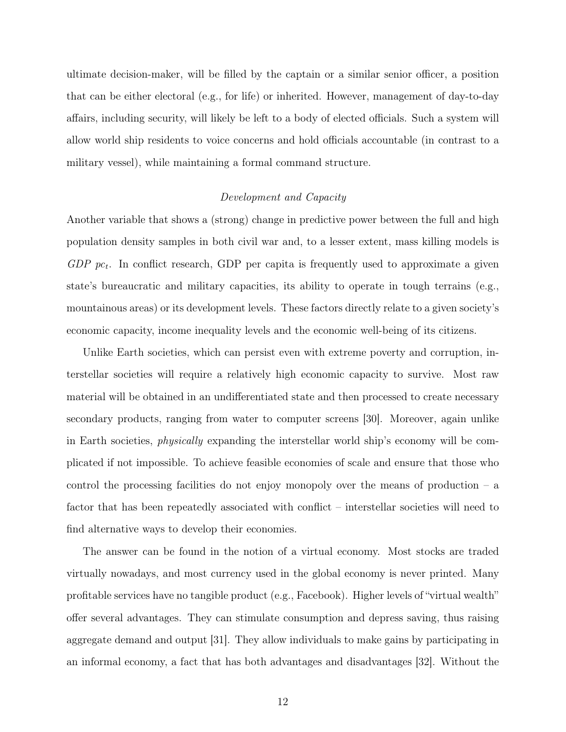ultimate decision-maker, will be filled by the captain or a similar senior officer, a position that can be either electoral (e.g., for life) or inherited. However, management of day-to-day affairs, including security, will likely be left to a body of elected officials. Such a system will allow world ship residents to voice concerns and hold officials accountable (in contrast to a military vessel), while maintaining a formal command structure.

#### Development and Capacity

Another variable that shows a (strong) change in predictive power between the full and high population density samples in both civil war and, to a lesser extent, mass killing models is  $GDP$  pc<sub>t</sub>. In conflict research, GDP per capita is frequently used to approximate a given state's bureaucratic and military capacities, its ability to operate in tough terrains (e.g., mountainous areas) or its development levels. These factors directly relate to a given society's economic capacity, income inequality levels and the economic well-being of its citizens.

Unlike Earth societies, which can persist even with extreme poverty and corruption, interstellar societies will require a relatively high economic capacity to survive. Most raw material will be obtained in an undifferentiated state and then processed to create necessary secondary products, ranging from water to computer screens [30]. Moreover, again unlike in Earth societies, physically expanding the interstellar world ship's economy will be complicated if not impossible. To achieve feasible economies of scale and ensure that those who control the processing facilities do not enjoy monopoly over the means of production  $-$  a factor that has been repeatedly associated with conflict – interstellar societies will need to find alternative ways to develop their economies.

The answer can be found in the notion of a virtual economy. Most stocks are traded virtually nowadays, and most currency used in the global economy is never printed. Many profitable services have no tangible product (e.g., Facebook). Higher levels of "virtual wealth" offer several advantages. They can stimulate consumption and depress saving, thus raising aggregate demand and output [31]. They allow individuals to make gains by participating in an informal economy, a fact that has both advantages and disadvantages [32]. Without the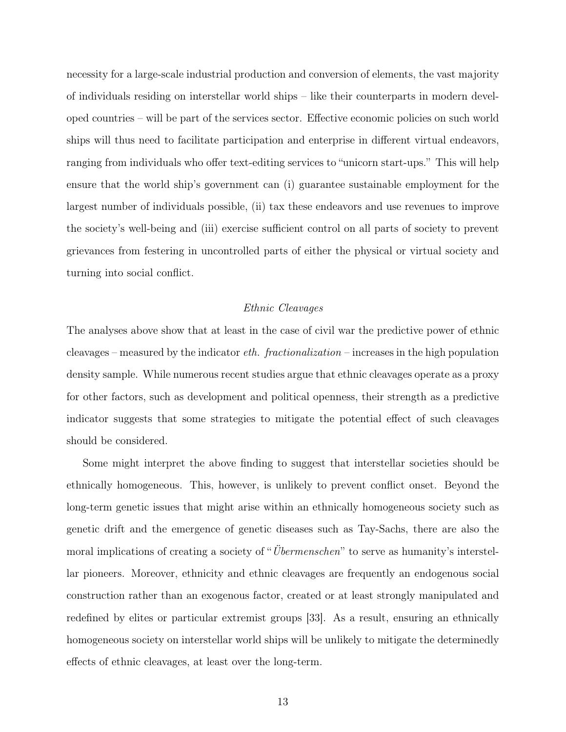necessity for a large-scale industrial production and conversion of elements, the vast majority of individuals residing on interstellar world ships – like their counterparts in modern developed countries – will be part of the services sector. Effective economic policies on such world ships will thus need to facilitate participation and enterprise in different virtual endeavors, ranging from individuals who offer text-editing services to "unicorn start-ups." This will help ensure that the world ship's government can (i) guarantee sustainable employment for the largest number of individuals possible, (ii) tax these endeavors and use revenues to improve the society's well-being and (iii) exercise sufficient control on all parts of society to prevent grievances from festering in uncontrolled parts of either the physical or virtual society and turning into social conflict.

#### Ethnic Cleavages

The analyses above show that at least in the case of civil war the predictive power of ethnic cleavages – measured by the indicator  $eth$ . fractionalization – increases in the high population density sample. While numerous recent studies argue that ethnic cleavages operate as a proxy for other factors, such as development and political openness, their strength as a predictive indicator suggests that some strategies to mitigate the potential effect of such cleavages should be considered.

Some might interpret the above finding to suggest that interstellar societies should be ethnically homogeneous. This, however, is unlikely to prevent conflict onset. Beyond the long-term genetic issues that might arise within an ethnically homogeneous society such as genetic drift and the emergence of genetic diseases such as Tay-Sachs, there are also the moral implications of creating a society of "Ubermenschen" to serve as humanity's interstellar pioneers. Moreover, ethnicity and ethnic cleavages are frequently an endogenous social construction rather than an exogenous factor, created or at least strongly manipulated and redefined by elites or particular extremist groups [33]. As a result, ensuring an ethnically homogeneous society on interstellar world ships will be unlikely to mitigate the determinedly effects of ethnic cleavages, at least over the long-term.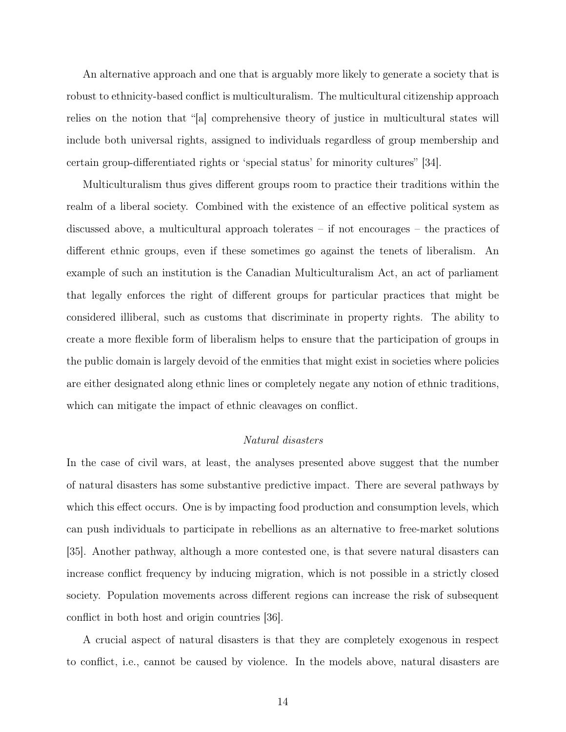An alternative approach and one that is arguably more likely to generate a society that is robust to ethnicity-based conflict is multiculturalism. The multicultural citizenship approach relies on the notion that "[a] comprehensive theory of justice in multicultural states will include both universal rights, assigned to individuals regardless of group membership and certain group-differentiated rights or 'special status' for minority cultures" [34].

Multiculturalism thus gives different groups room to practice their traditions within the realm of a liberal society. Combined with the existence of an effective political system as discussed above, a multicultural approach tolerates – if not encourages – the practices of different ethnic groups, even if these sometimes go against the tenets of liberalism. An example of such an institution is the Canadian Multiculturalism Act, an act of parliament that legally enforces the right of different groups for particular practices that might be considered illiberal, such as customs that discriminate in property rights. The ability to create a more flexible form of liberalism helps to ensure that the participation of groups in the public domain is largely devoid of the enmities that might exist in societies where policies are either designated along ethnic lines or completely negate any notion of ethnic traditions, which can mitigate the impact of ethnic cleavages on conflict.

#### Natural disasters

In the case of civil wars, at least, the analyses presented above suggest that the number of natural disasters has some substantive predictive impact. There are several pathways by which this effect occurs. One is by impacting food production and consumption levels, which can push individuals to participate in rebellions as an alternative to free-market solutions [35]. Another pathway, although a more contested one, is that severe natural disasters can increase conflict frequency by inducing migration, which is not possible in a strictly closed society. Population movements across different regions can increase the risk of subsequent conflict in both host and origin countries [36].

A crucial aspect of natural disasters is that they are completely exogenous in respect to conflict, i.e., cannot be caused by violence. In the models above, natural disasters are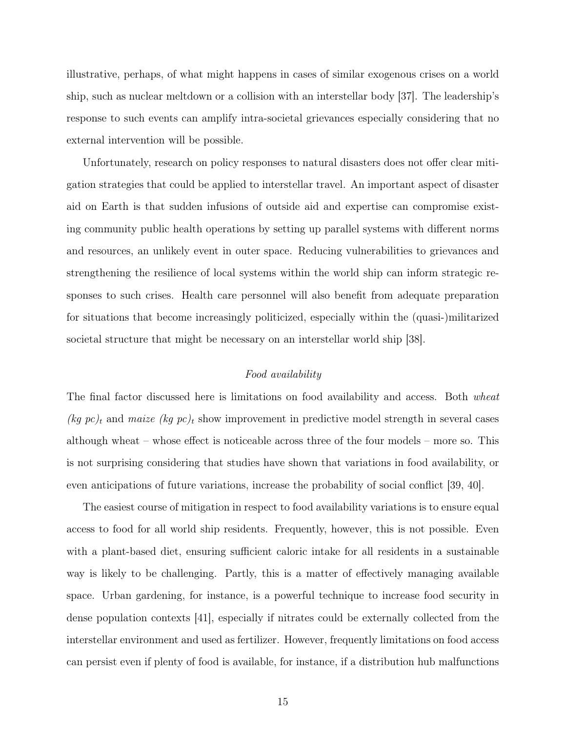illustrative, perhaps, of what might happens in cases of similar exogenous crises on a world ship, such as nuclear meltdown or a collision with an interstellar body [37]. The leadership's response to such events can amplify intra-societal grievances especially considering that no external intervention will be possible.

Unfortunately, research on policy responses to natural disasters does not offer clear mitigation strategies that could be applied to interstellar travel. An important aspect of disaster aid on Earth is that sudden infusions of outside aid and expertise can compromise existing community public health operations by setting up parallel systems with different norms and resources, an unlikely event in outer space. Reducing vulnerabilities to grievances and strengthening the resilience of local systems within the world ship can inform strategic responses to such crises. Health care personnel will also benefit from adequate preparation for situations that become increasingly politicized, especially within the (quasi-)militarized societal structure that might be necessary on an interstellar world ship [38].

### Food availability

The final factor discussed here is limitations on food availability and access. Both wheat (kg pc)<sub>t</sub> and maize (kg pc)<sub>t</sub> show improvement in predictive model strength in several cases although wheat – whose effect is noticeable across three of the four models – more so. This is not surprising considering that studies have shown that variations in food availability, or even anticipations of future variations, increase the probability of social conflict [39, 40].

The easiest course of mitigation in respect to food availability variations is to ensure equal access to food for all world ship residents. Frequently, however, this is not possible. Even with a plant-based diet, ensuring sufficient caloric intake for all residents in a sustainable way is likely to be challenging. Partly, this is a matter of effectively managing available space. Urban gardening, for instance, is a powerful technique to increase food security in dense population contexts [41], especially if nitrates could be externally collected from the interstellar environment and used as fertilizer. However, frequently limitations on food access can persist even if plenty of food is available, for instance, if a distribution hub malfunctions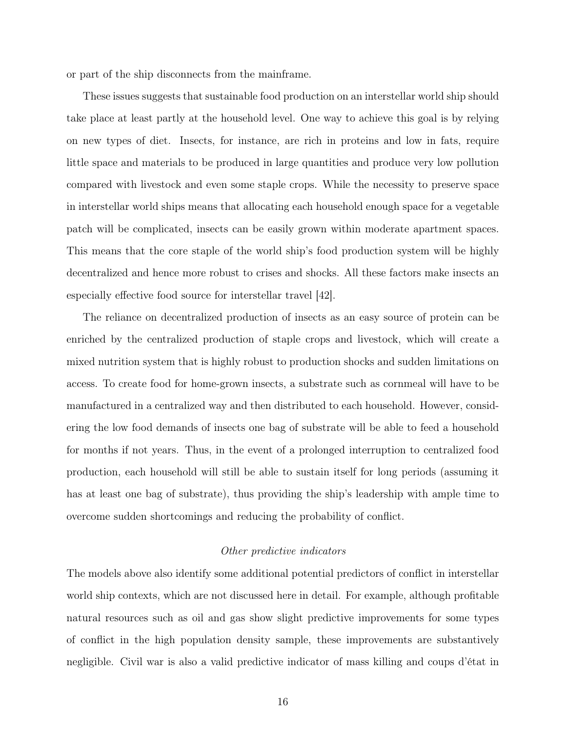or part of the ship disconnects from the mainframe.

These issues suggests that sustainable food production on an interstellar world ship should take place at least partly at the household level. One way to achieve this goal is by relying on new types of diet. Insects, for instance, are rich in proteins and low in fats, require little space and materials to be produced in large quantities and produce very low pollution compared with livestock and even some staple crops. While the necessity to preserve space in interstellar world ships means that allocating each household enough space for a vegetable patch will be complicated, insects can be easily grown within moderate apartment spaces. This means that the core staple of the world ship's food production system will be highly decentralized and hence more robust to crises and shocks. All these factors make insects an especially effective food source for interstellar travel [42].

The reliance on decentralized production of insects as an easy source of protein can be enriched by the centralized production of staple crops and livestock, which will create a mixed nutrition system that is highly robust to production shocks and sudden limitations on access. To create food for home-grown insects, a substrate such as cornmeal will have to be manufactured in a centralized way and then distributed to each household. However, considering the low food demands of insects one bag of substrate will be able to feed a household for months if not years. Thus, in the event of a prolonged interruption to centralized food production, each household will still be able to sustain itself for long periods (assuming it has at least one bag of substrate), thus providing the ship's leadership with ample time to overcome sudden shortcomings and reducing the probability of conflict.

### Other predictive indicators

The models above also identify some additional potential predictors of conflict in interstellar world ship contexts, which are not discussed here in detail. For example, although profitable natural resources such as oil and gas show slight predictive improvements for some types of conflict in the high population density sample, these improvements are substantively negligible. Civil war is also a valid predictive indicator of mass killing and coups d'état in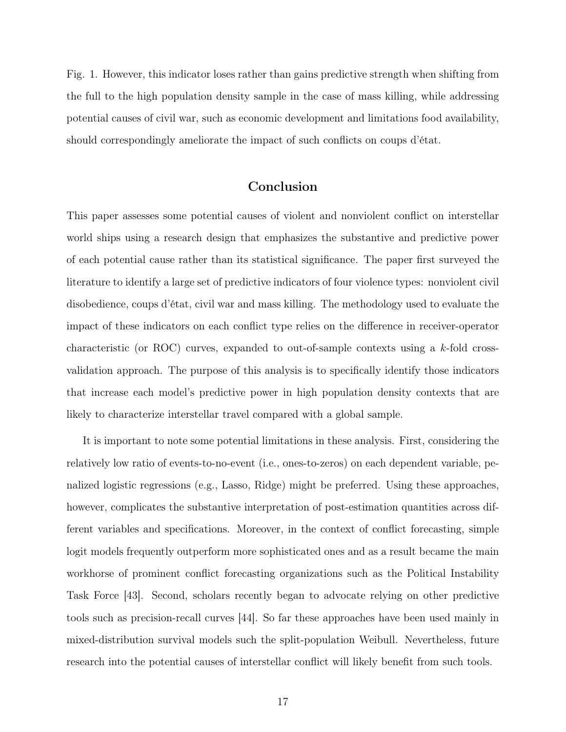Fig. 1. However, this indicator loses rather than gains predictive strength when shifting from the full to the high population density sample in the case of mass killing, while addressing potential causes of civil war, such as economic development and limitations food availability, should correspondingly ameliorate the impact of such conflicts on coups d'état.

## Conclusion

This paper assesses some potential causes of violent and nonviolent conflict on interstellar world ships using a research design that emphasizes the substantive and predictive power of each potential cause rather than its statistical significance. The paper first surveyed the literature to identify a large set of predictive indicators of four violence types: nonviolent civil disobedience, coups d'état, civil war and mass killing. The methodology used to evaluate the impact of these indicators on each conflict type relies on the difference in receiver-operator characteristic (or ROC) curves, expanded to out-of-sample contexts using a k-fold crossvalidation approach. The purpose of this analysis is to specifically identify those indicators that increase each model's predictive power in high population density contexts that are likely to characterize interstellar travel compared with a global sample.

It is important to note some potential limitations in these analysis. First, considering the relatively low ratio of events-to-no-event (i.e., ones-to-zeros) on each dependent variable, penalized logistic regressions (e.g., Lasso, Ridge) might be preferred. Using these approaches, however, complicates the substantive interpretation of post-estimation quantities across different variables and specifications. Moreover, in the context of conflict forecasting, simple logit models frequently outperform more sophisticated ones and as a result became the main workhorse of prominent conflict forecasting organizations such as the Political Instability Task Force [43]. Second, scholars recently began to advocate relying on other predictive tools such as precision-recall curves [44]. So far these approaches have been used mainly in mixed-distribution survival models such the split-population Weibull. Nevertheless, future research into the potential causes of interstellar conflict will likely benefit from such tools.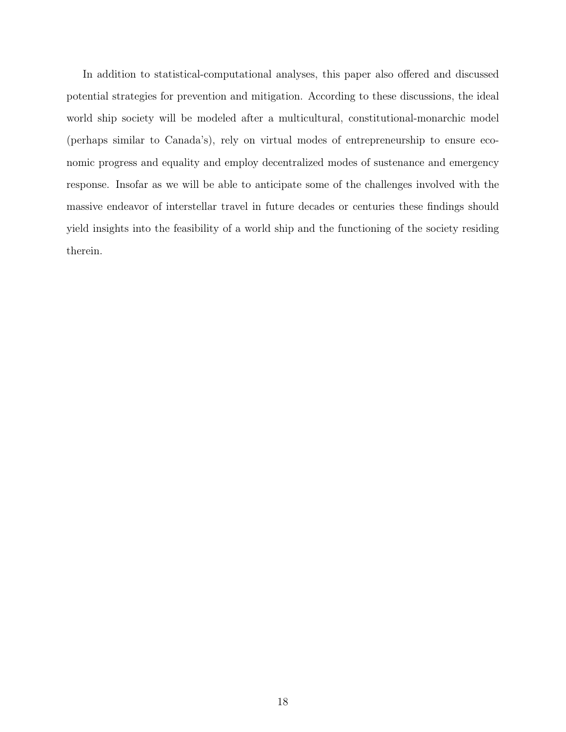In addition to statistical-computational analyses, this paper also offered and discussed potential strategies for prevention and mitigation. According to these discussions, the ideal world ship society will be modeled after a multicultural, constitutional-monarchic model (perhaps similar to Canada's), rely on virtual modes of entrepreneurship to ensure economic progress and equality and employ decentralized modes of sustenance and emergency response. Insofar as we will be able to anticipate some of the challenges involved with the massive endeavor of interstellar travel in future decades or centuries these findings should yield insights into the feasibility of a world ship and the functioning of the society residing therein.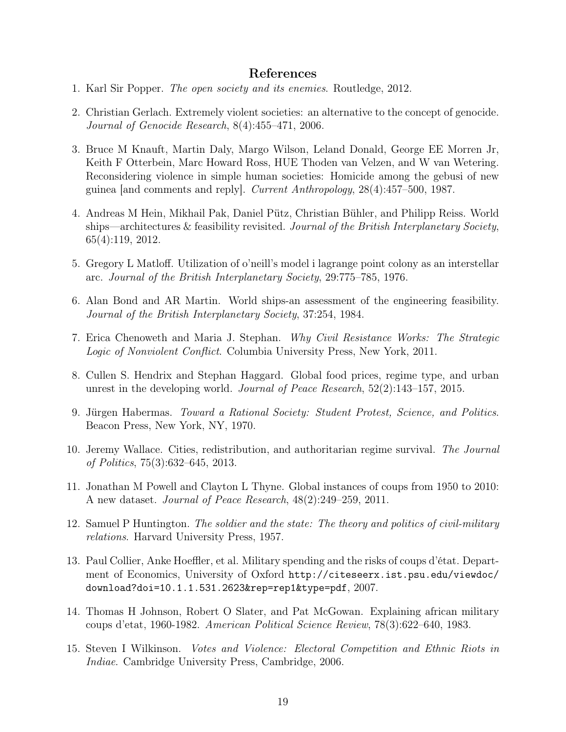## References

- 1. Karl Sir Popper. The open society and its enemies. Routledge, 2012.
- 2. Christian Gerlach. Extremely violent societies: an alternative to the concept of genocide. Journal of Genocide Research, 8(4):455–471, 2006.
- 3. Bruce M Knauft, Martin Daly, Margo Wilson, Leland Donald, George EE Morren Jr, Keith F Otterbein, Marc Howard Ross, HUE Thoden van Velzen, and W van Wetering. Reconsidering violence in simple human societies: Homicide among the gebusi of new guinea [and comments and reply]. Current Anthropology, 28(4):457–500, 1987.
- 4. Andreas M Hein, Mikhail Pak, Daniel Pütz, Christian Bühler, and Philipp Reiss. World ships—architectures & feasibility revisited. Journal of the British Interplanetary Society, 65(4):119, 2012.
- 5. Gregory L Matloff. Utilization of o'neill's model i lagrange point colony as an interstellar arc. Journal of the British Interplanetary Society, 29:775–785, 1976.
- 6. Alan Bond and AR Martin. World ships-an assessment of the engineering feasibility. Journal of the British Interplanetary Society, 37:254, 1984.
- 7. Erica Chenoweth and Maria J. Stephan. Why Civil Resistance Works: The Strategic Logic of Nonviolent Conflict. Columbia University Press, New York, 2011.
- 8. Cullen S. Hendrix and Stephan Haggard. Global food prices, regime type, and urban unrest in the developing world. Journal of Peace Research, 52(2):143–157, 2015.
- 9. Jürgen Habermas. Toward a Rational Society: Student Protest, Science, and Politics. Beacon Press, New York, NY, 1970.
- 10. Jeremy Wallace. Cities, redistribution, and authoritarian regime survival. The Journal of Politics, 75(3):632–645, 2013.
- 11. Jonathan M Powell and Clayton L Thyne. Global instances of coups from 1950 to 2010: A new dataset. Journal of Peace Research, 48(2):249–259, 2011.
- 12. Samuel P Huntington. The soldier and the state: The theory and politics of civil-military relations. Harvard University Press, 1957.
- 13. Paul Collier, Anke Hoeffler, et al. Military spending and the risks of coups d'état. Department of Economics, University of Oxford http://citeseerx.ist.psu.edu/viewdoc/ download?doi=10.1.1.531.2623&rep=rep1&type=pdf, 2007.
- 14. Thomas H Johnson, Robert O Slater, and Pat McGowan. Explaining african military coups d'etat, 1960-1982. American Political Science Review, 78(3):622–640, 1983.
- 15. Steven I Wilkinson. Votes and Violence: Electoral Competition and Ethnic Riots in Indiae. Cambridge University Press, Cambridge, 2006.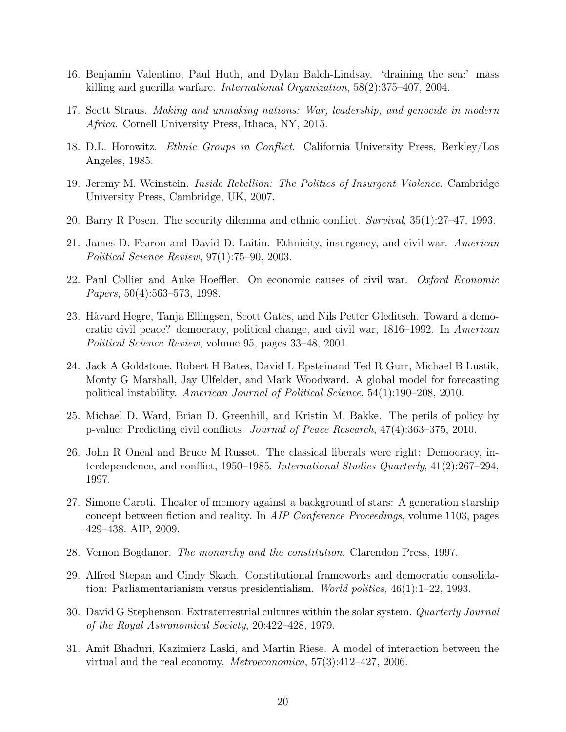- 16. Benjamin Valentino, Paul Huth, and Dylan Balch-Lindsay. 'draining the sea:' mass killing and guerilla warfare. International Organization, 58(2):375–407, 2004.
- 17. Scott Straus. Making and unmaking nations: War, leadership, and genocide in modern Africa. Cornell University Press, Ithaca, NY, 2015.
- 18. D.L. Horowitz. Ethnic Groups in Conflict. California University Press, Berkley/Los Angeles, 1985.
- 19. Jeremy M. Weinstein. Inside Rebellion: The Politics of Insurgent Violence. Cambridge University Press, Cambridge, UK, 2007.
- 20. Barry R Posen. The security dilemma and ethnic conflict. Survival, 35(1):27–47, 1993.
- 21. James D. Fearon and David D. Laitin. Ethnicity, insurgency, and civil war. American Political Science Review, 97(1):75–90, 2003.
- 22. Paul Collier and Anke Hoeffler. On economic causes of civil war. Oxford Economic Papers, 50(4):563–573, 1998.
- 23. Håvard Hegre, Tanja Ellingsen, Scott Gates, and Nils Petter Gleditsch. Toward a democratic civil peace? democracy, political change, and civil war, 1816–1992. In American Political Science Review, volume 95, pages 33–48, 2001.
- 24. Jack A Goldstone, Robert H Bates, David L Epsteinand Ted R Gurr, Michael B Lustik, Monty G Marshall, Jay Ulfelder, and Mark Woodward. A global model for forecasting political instability. American Journal of Political Science, 54(1):190–208, 2010.
- 25. Michael D. Ward, Brian D. Greenhill, and Kristin M. Bakke. The perils of policy by p-value: Predicting civil conflicts. Journal of Peace Research, 47(4):363–375, 2010.
- 26. John R Oneal and Bruce M Russet. The classical liberals were right: Democracy, interdependence, and conflict, 1950–1985. International Studies Quarterly,  $41(2):267-294$ , 1997.
- 27. Simone Caroti. Theater of memory against a background of stars: A generation starship concept between fiction and reality. In AIP Conference Proceedings, volume 1103, pages 429–438. AIP, 2009.
- 28. Vernon Bogdanor. The monarchy and the constitution. Clarendon Press, 1997.
- 29. Alfred Stepan and Cindy Skach. Constitutional frameworks and democratic consolidation: Parliamentarianism versus presidentialism. World politics, 46(1):1–22, 1993.
- 30. David G Stephenson. Extraterrestrial cultures within the solar system. Quarterly Journal of the Royal Astronomical Society, 20:422–428, 1979.
- 31. Amit Bhaduri, Kazimierz Laski, and Martin Riese. A model of interaction between the virtual and the real economy. Metroeconomica, 57(3):412–427, 2006.